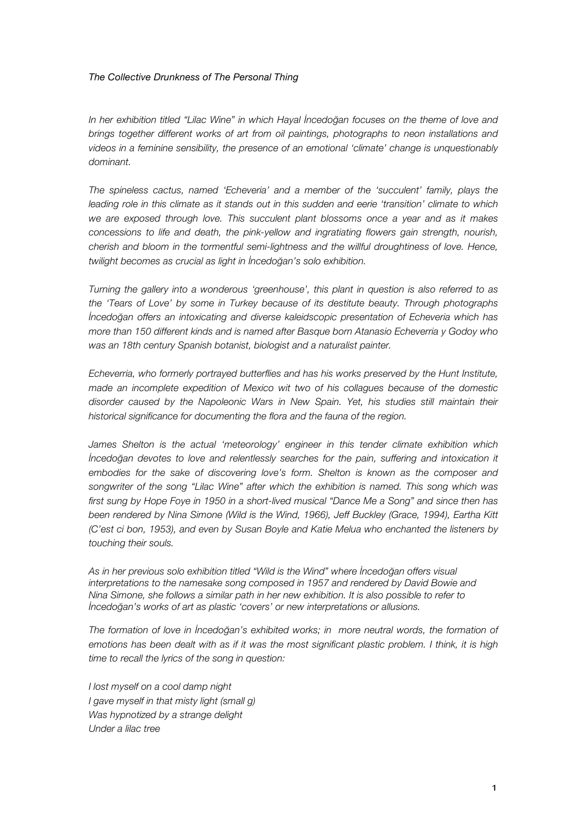## *The Collective Drunkness of The Personal Thing*

*In her exhibition titled "Lilac Wine" in which Hayal İncedoğan focuses on the theme of love and brings together different works of art from oil paintings, photographs to neon installations and videos in a feminine sensibility, the presence of an emotional 'climate' change is unquestionably dominant.* 

*The spineless cactus, named 'Echeveria' and a member of the 'succulent' family, plays the leading role in this climate as it stands out in this sudden and eerie 'transition' climate to which we are exposed through love. This succulent plant blossoms once a year and as it makes concessions to life and death, the pink-yellow and ingratiating flowers gain strength, nourish, cherish and bloom in the tormentful semi-lightness and the willful droughtiness of love. Hence, twilight becomes as crucial as light in İncedoğan's solo exhibition.* 

*Turning the gallery into a wonderous 'greenhouse', this plant in question is also referred to as the 'Tears of Love' by some in Turkey because of its destitute beauty. Through photographs İncedoğan offers an intoxicating and diverse kaleidscopic presentation of Echeveria which has more than 150 different kinds and is named after Basque born Atanasio Echeverria y Godoy who was an 18th century Spanish botanist, biologist and a naturalist painter.* 

*Echeverria, who formerly portrayed butterflies and has his works preserved by the Hunt Institute, made an incomplete expedition of Mexico wit two of his collagues because of the domestic disorder caused by the Napoleonic Wars in New Spain. Yet, his studies still maintain their historical significance for documenting the flora and the fauna of the region.* 

James Shelton is the actual 'meteorology' engineer in this tender climate exhibition which *İncedoğan devotes to love and relentlessly searches for the pain, suffering and intoxication it embodies for the sake of discovering love's form. Shelton is known as the composer and songwriter of the song "Lilac Wine" after which the exhibition is named. This song which was first sung by Hope Foye in 1950 in a short-lived musical "Dance Me a Song" and since then has been rendered by Nina Simone (Wild is the Wind, 1966), Jeff Buckley (Grace, 1994), Eartha Kitt (C'est ci bon, 1953), and even by Susan Boyle and Katie Melua who enchanted the listeners by touching their souls.*

*As in her previous solo exhibition titled "Wild is the Wind" where İncedoğan offers visual interpretations to the namesake song composed in 1957 and rendered by David Bowie and Nina Simone, she follows a similar path in her new exhibition. It is also possible to refer to İncedoğan's works of art as plastic 'covers' or new interpretations or allusions.*

*The formation of love in İncedoğan's exhibited works; in more neutral words, the formation of emotions has been dealt with as if it was the most significant plastic problem. I think, it is high time to recall the lyrics of the song in question:*

*I lost myself on a cool damp night I gave myself in that misty light (small g) Was hypnotized by a strange delight Under a lilac tree*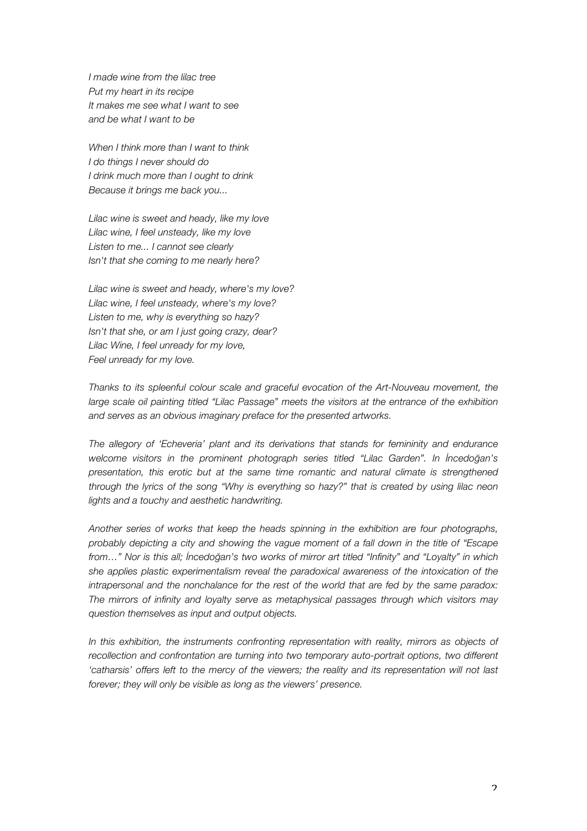*I made wine from the lilac tree Put my heart in its recipe It makes me see what I want to see and be what I want to be*

*When I think more than I want to think I do things I never should do I drink much more than I ought to drink Because it brings me back you...*

*Lilac wine is sweet and heady, like my love Lilac wine, I feel unsteady, like my love Listen to me... I cannot see clearly Isn't that she coming to me nearly here?* 

*Lilac wine is sweet and heady, where's my love? Lilac wine, I feel unsteady, where's my love? Listen to me, why is everything so hazy? Isn't that she, or am I just going crazy, dear? Lilac Wine, I feel unready for my love, Feel unready for my love.*

*Thanks to its spleenful colour scale and graceful evocation of the Art-Nouveau movement, the large scale oil painting titled "Lilac Passage" meets the visitors at the entrance of the exhibition and serves as an obvious imaginary preface for the presented artworks.*

*The allegory of 'Echeveria' plant and its derivations that stands for femininity and endurance welcome visitors in the prominent photograph series titled "Lilac Garden". In İncedoğan's presentation, this erotic but at the same time romantic and natural climate is strengthened through the lyrics of the song "Why is everything so hazy?" that is created by using lilac neon lights and a touchy and aesthetic handwriting.*

*Another series of works that keep the heads spinning in the exhibition are four photographs, probably depicting a city and showing the vague moment of a fall down in the title of "Escape from…" Nor is this all; İncedoğan's two works of mirror art titled "Infinity" and "Loyalty" in which she applies plastic experimentalism reveal the paradoxical awareness of the intoxication of the intrapersonal and the nonchalance for the rest of the world that are fed by the same paradox: The mirrors of infinity and loyalty serve as metaphysical passages through which visitors may question themselves as input and output objects.* 

*In this exhibition, the instruments confronting representation with reality, mirrors as objects of recollection and confrontation are turning into two temporary auto-portrait options, two different 'catharsis' offers left to the mercy of the viewers; the reality and its representation will not last forever; they will only be visible as long as the viewers' presence.*